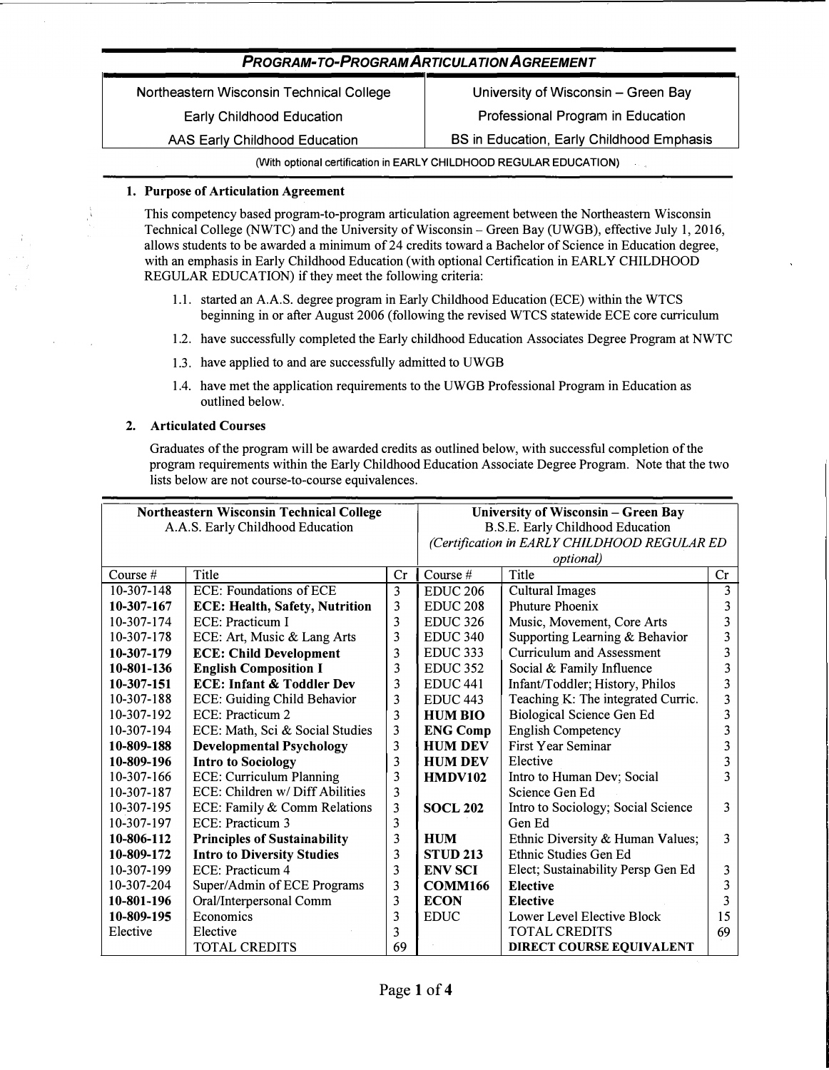Northeastern Wisconsin Technical College

Early Childhood Education

AAS Early Childhood Education

University of Wisconsin - Green Bay Professional Program in Education

BS in Education, Early Childhood Emphasis

**(With optional certification in EARLY CHILDHOOD REGULAR EDUCATION)** 

# **1. Purpose of Articulation Agreement**

This competency based program-to-program articulation agreement between the Northeastern Wisconsin Technical College (NWTC) and the University of Wisconsin - Green Bay (UWGB), effective July 1, 2016, allows students to be awarded a minimum of 24 credits toward a Bachelor of Science in Education degree, with an emphasis in Early Childhood Education (with optional Certification in EARLY CHILDHOOD REGULAR EDUCATION) if they meet the following criteria:

- 1.1. started an A.AS. degree program in Early Childhood Education (ECE) within the WTCS beginning in or after August 2006 (following the revised WTCS statewide ECE core curriculum
- 1.2. have successfully completed the Early childhood Education Associates Degree Program at NWTC
- 1.3. have applied to and are successfully admitted to UWGB
- 1.4. have met the application requirements to the UWGB Professional Program in Education as outlined below.

### **2. Articulated Courses**

Graduates of the program will be awarded credits as outlined below, with successful completion of the program requirements within the Early Childhood Education Associate Degree Program. Note that the two lists below are not course-to-course equivalences.

| Northeastern Wisconsin Technical College |                                       |                   | University of Wisconsin - Green Bay          |                                    |    |  |
|------------------------------------------|---------------------------------------|-------------------|----------------------------------------------|------------------------------------|----|--|
| A.A.S. Early Childhood Education         |                                       |                   | <b>B.S.E. Early Childhood Education</b>      |                                    |    |  |
|                                          |                                       |                   | (Certification in EARLY CHILDHOOD REGULAR ED |                                    |    |  |
|                                          |                                       | <i>optional</i> ) |                                              |                                    |    |  |
| Course $#$                               | Title                                 | Cr                | Course $#$                                   | Title                              | Cr |  |
| 10-307-148                               | <b>ECE: Foundations of ECE</b>        | 3                 | <b>EDUC 206</b>                              | <b>Cultural Images</b>             | 3  |  |
| 10-307-167                               | <b>ECE: Health, Safety, Nutrition</b> | 3                 | EDUC <sub>208</sub>                          | <b>Phuture Phoenix</b>             | 3  |  |
| 10-307-174                               | ECE: Practicum I                      | 3                 | <b>EDUC 326</b>                              | Music, Movement, Core Arts         | 3  |  |
| 10-307-178                               | ECE: Art, Music & Lang Arts           | 3                 | <b>EDUC 340</b>                              | Supporting Learning & Behavior     | 3  |  |
| 10-307-179                               | <b>ECE: Child Development</b>         | 3                 | EDUC <sub>333</sub>                          | <b>Curriculum and Assessment</b>   | 3  |  |
| 10-801-136                               | <b>English Composition I</b>          | 3                 | <b>EDUC 352</b>                              | Social & Family Influence          | 3  |  |
| 10-307-151                               | <b>ECE: Infant &amp; Toddler Dev</b>  | 3                 | EDUC <sub>441</sub>                          | Infant/Toddler; History, Philos    | 3  |  |
| 10-307-188                               | <b>ECE: Guiding Child Behavior</b>    | 3                 | EDUC <sub>443</sub>                          | Teaching K: The integrated Curric. | 3  |  |
| 10-307-192                               | ECE: Practicum 2                      | 3                 | <b>HUM BIO</b>                               | <b>Biological Science Gen Ed</b>   | 3  |  |
| 10-307-194                               | ECE: Math, Sci & Social Studies       | 3                 | <b>ENG Comp</b>                              | <b>English Competency</b>          | 3  |  |
| 10-809-188                               | <b>Developmental Psychology</b>       | 3                 | <b>HUM DEV</b>                               | <b>First Year Seminar</b>          | 3  |  |
| 10-809-196                               | <b>Intro to Sociology</b>             | 3                 | <b>HUM DEV</b><br>Elective                   |                                    | 3  |  |
| 10-307-166                               | <b>ECE: Curriculum Planning</b>       | 3                 | <b>HMDV102</b><br>Intro to Human Dev; Social |                                    | 3  |  |
| 10-307-187                               | ECE: Children w/ Diff Abilities       | 3                 |                                              | Science Gen Ed                     |    |  |
| 10-307-195                               | ECE: Family & Comm Relations          | 3                 | <b>SOCL 202</b>                              | Intro to Sociology; Social Science | 3  |  |
| 10-307-197                               | ECE: Practicum 3                      | 3                 |                                              | Gen Ed                             |    |  |
| 10-806-112                               | <b>Principles of Sustainability</b>   | 3                 | <b>HUM</b>                                   | Ethnic Diversity & Human Values;   | 3  |  |
| 10-809-172                               | <b>Intro to Diversity Studies</b>     | 3                 | <b>STUD 213</b>                              | Ethnic Studies Gen Ed              |    |  |
| 10-307-199                               | ECE: Practicum 4                      | 3                 | <b>ENV SCI</b>                               | Elect; Sustainability Persp Gen Ed | 3  |  |
| 10-307-204                               | Super/Admin of ECE Programs           | 3                 | <b>COMM166</b>                               | <b>Elective</b>                    | 3  |  |
| 10-801-196                               | Oral/Interpersonal Comm               | 3                 | <b>ECON</b>                                  | <b>Elective</b>                    | 3  |  |
| 10-809-195                               | Economics                             | 3                 | <b>EDUC</b>                                  | Lower Level Elective Block         | 15 |  |
| Elective                                 | Elective                              | 3                 |                                              | <b>TOTAL CREDITS</b>               | 69 |  |
|                                          | <b>TOTAL CREDITS</b>                  | 69                |                                              | DIRECT COURSE EQUIVALENT           |    |  |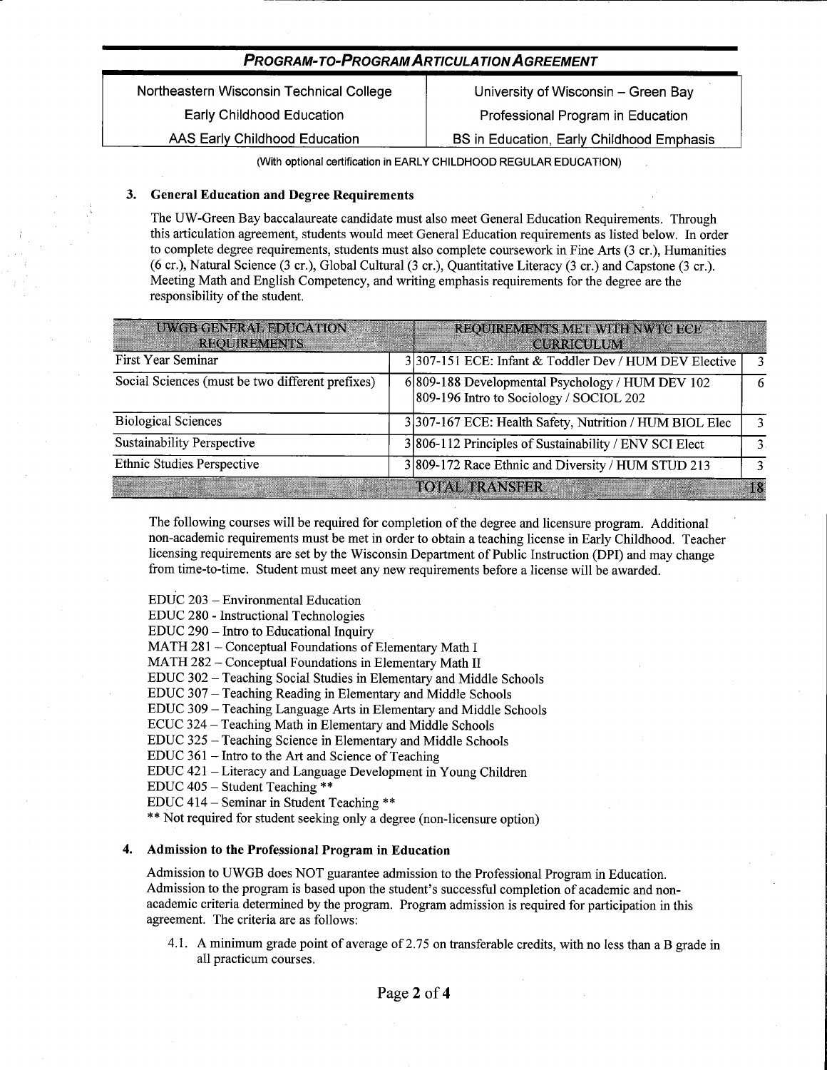Northeastern Wisconsin Technical College **Early Childhood Education** AAS Early Childhood Education

University of Wisconsin - Green Bay Professional Program in Education BS in Education, Early Childhood Emphasis

(With optional certification in EARLY CHILDHOOD REGULAR EDUCATION)

#### **General Education and Degree Requirements** 3.

The UW-Green Bay baccalaureate candidate must also meet General Education Requirements. Through this articulation agreement, students would meet General Education requirements as listed below. In order to complete degree requirements, students must also complete coursework in Fine Arts (3 cr.). Humanities (6 cr.), Natural Science (3 cr.), Global Cultural (3 cr.), Quantitative Literacy (3 cr.) and Capstone (3 cr.). Meeting Math and English Competency, and writing emphasis requirements for the degree are the responsibility of the student.

| <b>UWGB GENERAL EDUCATION</b><br><b>REQUIREMENTS</b> | REQUIREMENTS MET WITH NWTC ECE<br><b>CURRICULUM</b>                                         |   |
|------------------------------------------------------|---------------------------------------------------------------------------------------------|---|
| First Year Seminar                                   | 3 307-151 ECE: Infant & Toddler Dev / HUM DEV Elective                                      |   |
| Social Sciences (must be two different prefixes)     | 6 809-188 Developmental Psychology / HUM DEV 102<br>809-196 Intro to Sociology / SOCIOL 202 | 6 |
| <b>Biological Sciences</b>                           | 3 307-167 ECE: Health Safety, Nutrition / HUM BIOL Elec                                     | 3 |
| <b>Sustainability Perspective</b>                    | 3 806-112 Principles of Sustainability / ENV SCI Elect                                      |   |
| <b>Ethnic Studies Perspective</b>                    | 3809-172 Race Ethnic and Diversity / HUM STUD 213                                           | 3 |
|                                                      | <b>TOTAL TRANSFER</b>                                                                       |   |

The following courses will be required for completion of the degree and licensure program. Additional non-academic requirements must be met in order to obtain a teaching license in Early Childhood. Teacher licensing requirements are set by the Wisconsin Department of Public Instruction (DPI) and may change from time-to-time. Student must meet any new requirements before a license will be awarded.

EDUC 203 - Environmental Education

EDUC 280 - Instructional Technologies

EDUC 290 - Intro to Educational Inquiry

MATH 281 - Conceptual Foundations of Elementary Math I

MATH 282 - Conceptual Foundations in Elementary Math II

EDUC 302 - Teaching Social Studies in Elementary and Middle Schools

EDUC 307 – Teaching Reading in Elementary and Middle Schools

EDUC 309 - Teaching Language Arts in Elementary and Middle Schools

ECUC 324 – Teaching Math in Elementary and Middle Schools

EDUC 325 – Teaching Science in Elementary and Middle Schools

EDUC 361 – Intro to the Art and Science of Teaching

EDUC 421 - Literacy and Language Development in Young Children

EDUC 405 - Student Teaching \*\*

EDUC 414 - Seminar in Student Teaching \*\*

\*\* Not required for student seeking only a degree (non-licensure option)

### Admission to the Professional Program in Education

Admission to UWGB does NOT guarantee admission to the Professional Program in Education. Admission to the program is based upon the student's successful completion of academic and nonacademic criteria determined by the program. Program admission is required for participation in this agreement. The criteria are as follows:

4.1. A minimum grade point of average of 2.75 on transferable credits, with no less than a B grade in all practicum courses.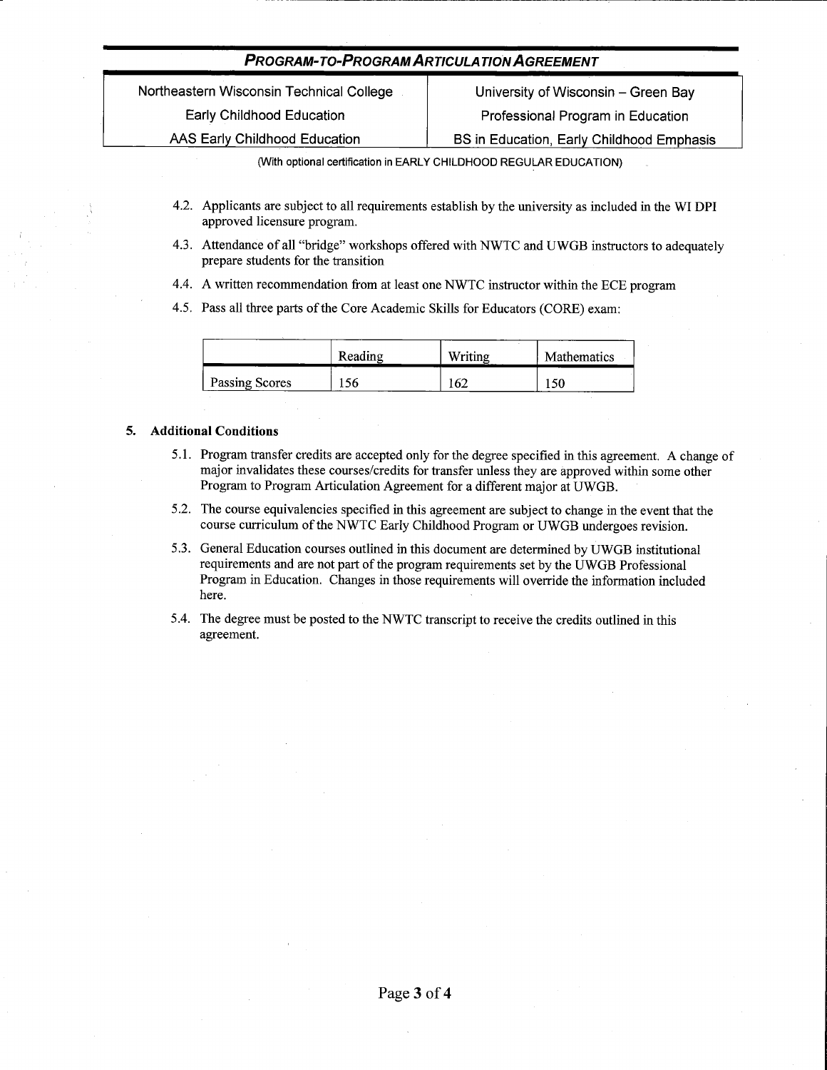Northeastern Wisconsin Technical College Early Childhood Education AAS Early Childhood Education

University of Wisconsin - Green Bay Professional Program in Education BS in Education, Early Childhood Emphasis

(With optional certification in EARLY CHILDHOOD REGULAR EDUCATION)

- 4.2. Applicants are subject to all requirements establish by the university as included in the WI DPI approved licensure program.
- 4.3. Attendance of all "bridge" workshops offered with NWTC and UWGB instructors to adequately prepare students for the transition
- 4.4. A written recommendation from at least one NWTC instructor within the ECE program
- 4.5. Pass all three parts of the Core Academic Skills for Educators (CORE) exam:

|                | Reading | Writing | <b>Mathematics</b> |
|----------------|---------|---------|--------------------|
| Passing Scores | 56      | 62      | 150                |

### 5. Additional Conditions

- 5.1. Program transfer credits are accepted only for the degree specified in this agreement. A change of major invalidates these courses/credits for transfer unless they are approved within some other Program to Program Articulation Agreement for a different major at UWGB.
- 5.2. The course equivalencies specified in this agreement are subject to change in the event that the course curriculum of the NWTC Early Childhood Program or UWGB undergoes revision.
- 5.3. General Education courses outlined in this document are determined by UWGB institutional requirements and are not part of the program requirements set by the UWGB Professional Program in Education. Changes in those requirements will override the information included here.
- 5.4. The degree must be posted to the NWTC transcript to receive the credits outlined in this agreement.